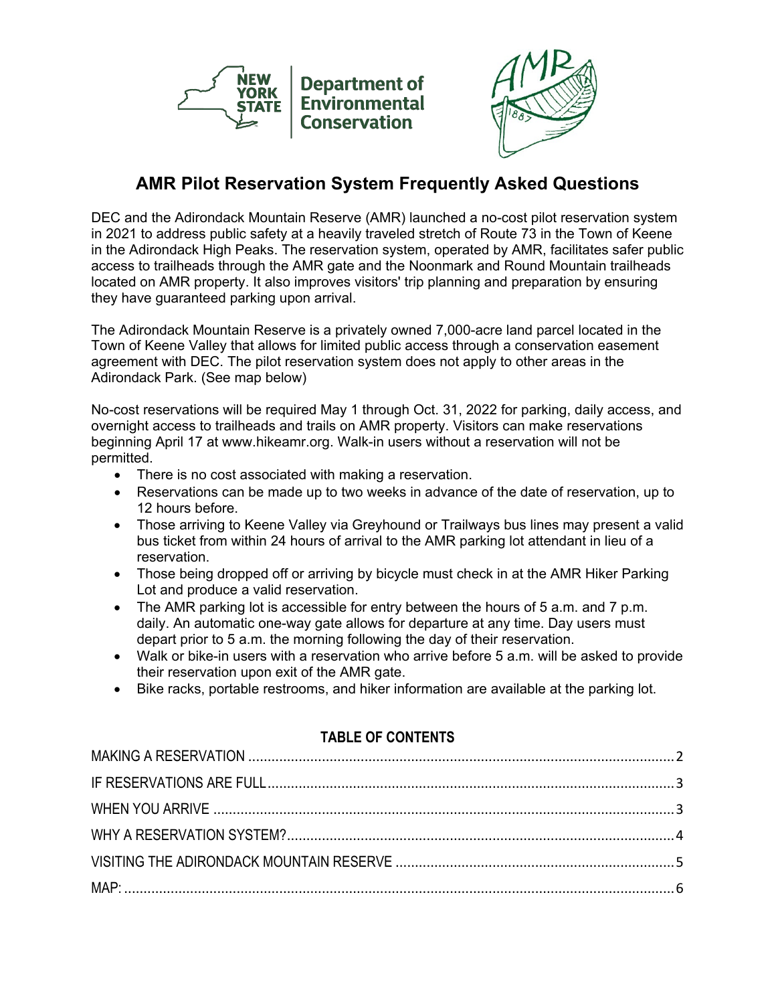



## **AMR Pilot Reservation System Frequently Asked Questions**

DEC and the Adirondack Mountain Reserve (AMR) launched a no-cost pilot reservation system in 2021 to address public safety at a heavily traveled stretch of Route 73 in the Town of Keene in the Adirondack High Peaks. The reservation system, operated by AMR, facilitates safer public access to trailheads through the AMR gate and the Noonmark and Round Mountain trailheads located on AMR property. It also improves visitors' trip planning and preparation by ensuring they have guaranteed parking upon arrival.

The Adirondack Mountain Reserve is a privately owned 7,000-acre land parcel located in the Town of Keene Valley that allows for limited public access through a conservation easement agreement with DEC. The pilot reservation system does not apply to other areas in the Adirondack Park. (See map below)

No-cost reservations will be required May 1 through Oct. 31, 2022 for parking, daily access, and overnight access to trailheads and trails on AMR property. Visitors can make reservations beginning April 17 at www.hikeamr.org. Walk-in users without a reservation will not be permitted.

- There is no cost associated with making a reservation.
- Reservations can be made up to two weeks in advance of the date of reservation, up to 12 hours before.
- Those arriving to Keene Valley via Greyhound or Trailways bus lines may present a valid bus ticket from within 24 hours of arrival to the AMR parking lot attendant in lieu of a reservation.
- Those being dropped off or arriving by bicycle must check in at the AMR Hiker Parking Lot and produce a valid reservation.
- The AMR parking lot is accessible for entry between the hours of 5 a.m. and 7 p.m. daily. An automatic one-way gate allows for departure at any time. Day users must depart prior to 5 a.m. the morning following the day of their reservation.
- Walk or bike-in users with a reservation who arrive before 5 a.m. will be asked to provide their reservation upon exit of the AMR gate.
- Bike racks, portable restrooms, and hiker information are available at the parking lot.

#### **TABLE OF CONTENTS**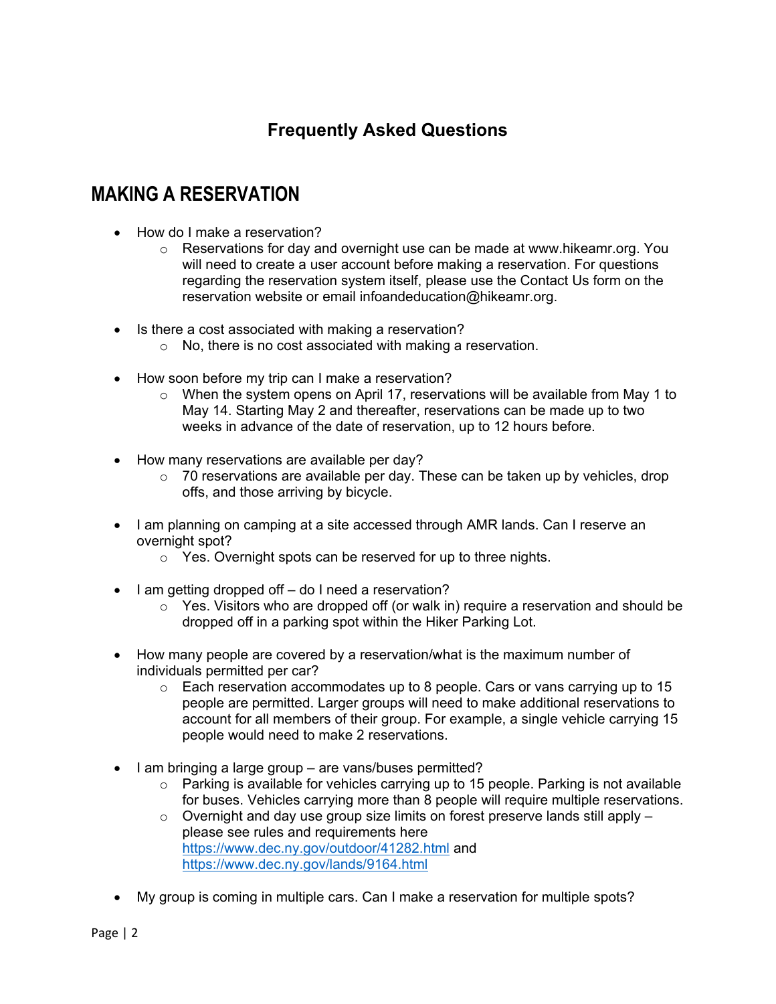## **Frequently Asked Questions**

# <span id="page-1-0"></span>**MAKING A RESERVATION**

- How do I make a reservation?
	- $\circ$  Reservations for day and overnight use can be made at www.hikeamr.org. You will need to create a user account before making a reservation. For questions regarding the reservation system itself, please use the Contact Us form on the reservation website or email infoandeducation@hikeamr.org.
- Is there a cost associated with making a reservation?
	- o No, there is no cost associated with making a reservation.
- How soon before my trip can I make a reservation?
	- $\circ$  When the system opens on April 17, reservations will be available from May 1 to May 14. Starting May 2 and thereafter, reservations can be made up to two weeks in advance of the date of reservation, up to 12 hours before.
- How many reservations are available per day?
	- $\circ$  70 reservations are available per day. These can be taken up by vehicles, drop offs, and those arriving by bicycle.
- I am planning on camping at a site accessed through AMR lands. Can I reserve an overnight spot?
	- o Yes. Overnight spots can be reserved for up to three nights.
- I am getting dropped off do I need a reservation?
	- $\circ$  Yes. Visitors who are dropped off (or walk in) require a reservation and should be dropped off in a parking spot within the Hiker Parking Lot.
- How many people are covered by a reservation/what is the maximum number of individuals permitted per car?
	- $\circ$  Each reservation accommodates up to 8 people. Cars or vans carrying up to 15 people are permitted. Larger groups will need to make additional reservations to account for all members of their group. For example, a single vehicle carrying 15 people would need to make 2 reservations.
- I am bringing a large group are vans/buses permitted?
	- $\circ$  Parking is available for vehicles carrying up to 15 people. Parking is not available for buses. Vehicles carrying more than 8 people will require multiple reservations.
	- $\circ$  Overnight and day use group size limits on forest preserve lands still apply  $$ please see rules and requirements here <https://www.dec.ny.gov/outdoor/41282.html> and <https://www.dec.ny.gov/lands/9164.html>
- My group is coming in multiple cars. Can I make a reservation for multiple spots?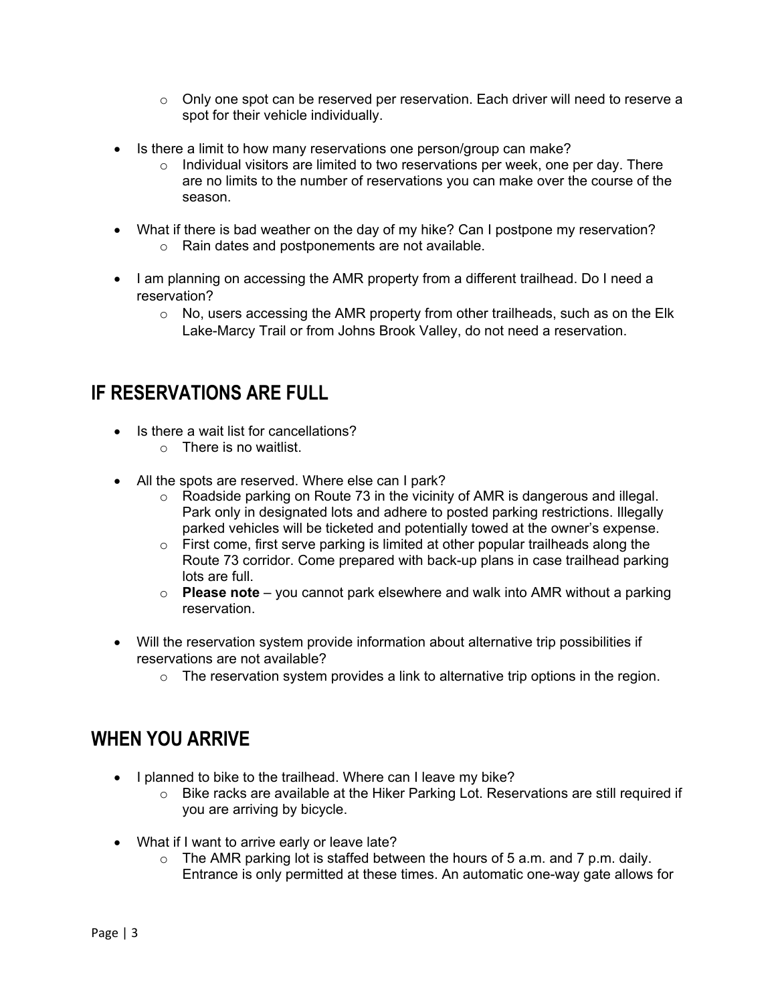- $\circ$  Only one spot can be reserved per reservation. Each driver will need to reserve a spot for their vehicle individually.
- Is there a limit to how many reservations one person/group can make?
	- o Individual visitors are limited to two reservations per week, one per day. There are no limits to the number of reservations you can make over the course of the season.
- What if there is bad weather on the day of my hike? Can I postpone my reservation? o Rain dates and postponements are not available.
- I am planning on accessing the AMR property from a different trailhead. Do I need a reservation?
	- o No, users accessing the AMR property from other trailheads, such as on the Elk Lake-Marcy Trail or from Johns Brook Valley, do not need a reservation.

# <span id="page-2-0"></span>**IF RESERVATIONS ARE FULL**

- Is there a wait list for cancellations?
	- o There is no waitlist.
- All the spots are reserved. Where else can I park?
	- $\circ$  Roadside parking on Route 73 in the vicinity of AMR is dangerous and illegal. Park only in designated lots and adhere to posted parking restrictions. Illegally parked vehicles will be ticketed and potentially towed at the owner's expense.
	- $\circ$  First come, first serve parking is limited at other popular trailheads along the Route 73 corridor. Come prepared with back-up plans in case trailhead parking lots are full.
	- o **Please note**  you cannot park elsewhere and walk into AMR without a parking reservation.
- Will the reservation system provide information about alternative trip possibilities if reservations are not available?
	- $\circ$  The reservation system provides a link to alternative trip options in the region.

## <span id="page-2-1"></span>**WHEN YOU ARRIVE**

- I planned to bike to the trailhead. Where can I leave my bike?
	- o Bike racks are available at the Hiker Parking Lot. Reservations are still required if you are arriving by bicycle.
- What if I want to arrive early or leave late?
	- $\circ$  The AMR parking lot is staffed between the hours of 5 a.m. and 7 p.m. daily. Entrance is only permitted at these times. An automatic one-way gate allows for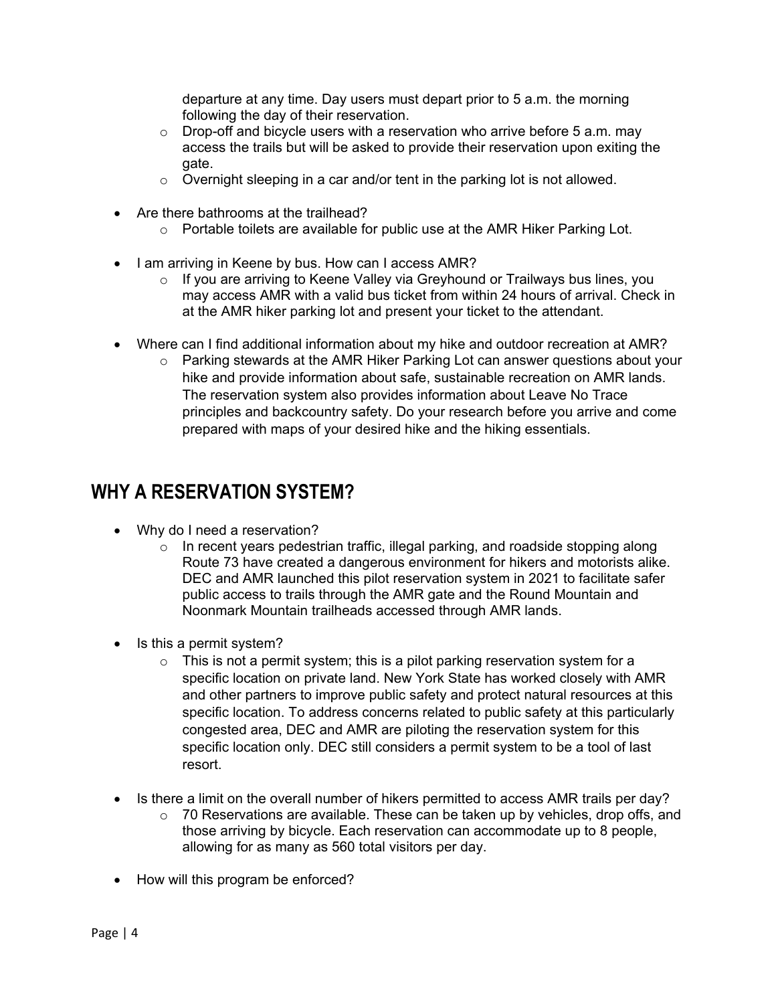departure at any time. Day users must depart prior to 5 a.m. the morning following the day of their reservation.

- $\circ$  Drop-off and bicycle users with a reservation who arrive before 5 a.m. may access the trails but will be asked to provide their reservation upon exiting the gate.
- $\circ$  Overnight sleeping in a car and/or tent in the parking lot is not allowed.
- Are there bathrooms at the trailhead?
	- o Portable toilets are available for public use at the AMR Hiker Parking Lot.
- I am arriving in Keene by bus. How can I access AMR?
	- o If you are arriving to Keene Valley via Greyhound or Trailways bus lines, you may access AMR with a valid bus ticket from within 24 hours of arrival. Check in at the AMR hiker parking lot and present your ticket to the attendant.
- Where can I find additional information about my hike and outdoor recreation at AMR?
	- $\circ$  Parking stewards at the AMR Hiker Parking Lot can answer questions about your hike and provide information about safe, sustainable recreation on AMR lands. The reservation system also provides information about Leave No Trace principles and backcountry safety. Do your research before you arrive and come prepared with maps of your desired hike and the hiking essentials.

## <span id="page-3-0"></span>**WHY A RESERVATION SYSTEM?**

- Why do I need a reservation?
	- $\circ$  In recent years pedestrian traffic, illegal parking, and roadside stopping along Route 73 have created a dangerous environment for hikers and motorists alike. DEC and AMR launched this pilot reservation system in 2021 to facilitate safer public access to trails through the AMR gate and the Round Mountain and Noonmark Mountain trailheads accessed through AMR lands.
- Is this a permit system?
	- $\circ$  This is not a permit system; this is a pilot parking reservation system for a specific location on private land. New York State has worked closely with AMR and other partners to improve public safety and protect natural resources at this specific location. To address concerns related to public safety at this particularly congested area, DEC and AMR are piloting the reservation system for this specific location only. DEC still considers a permit system to be a tool of last resort.
- Is there a limit on the overall number of hikers permitted to access AMR trails per day?
	- $\circ$  70 Reservations are available. These can be taken up by vehicles, drop offs, and those arriving by bicycle. Each reservation can accommodate up to 8 people, allowing for as many as 560 total visitors per day.
- How will this program be enforced?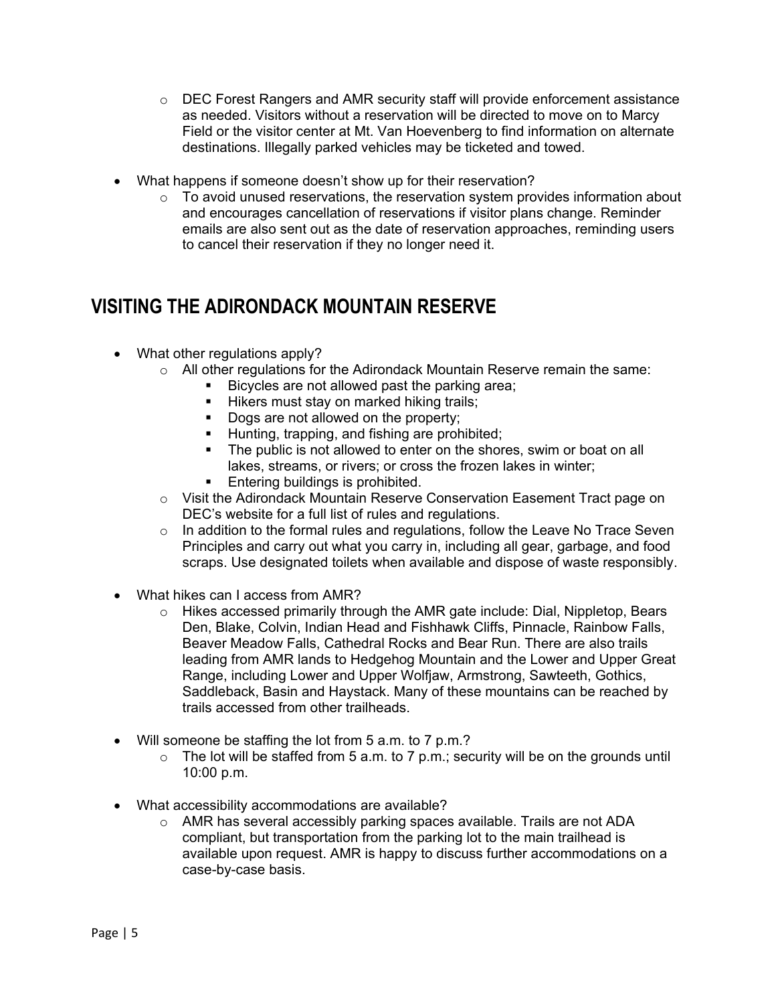- $\circ$  DEC Forest Rangers and AMR security staff will provide enforcement assistance as needed. Visitors without a reservation will be directed to move on to Marcy Field or the visitor center at Mt. Van Hoevenberg to find information on alternate destinations. Illegally parked vehicles may be ticketed and towed.
- What happens if someone doesn't show up for their reservation?
	- $\circ$  To avoid unused reservations, the reservation system provides information about and encourages cancellation of reservations if visitor plans change. Reminder emails are also sent out as the date of reservation approaches, reminding users to cancel their reservation if they no longer need it.

### <span id="page-4-0"></span>**VISITING THE ADIRONDACK MOUNTAIN RESERVE**

- What other regulations apply?
	- o All other regulations for the Adirondack Mountain Reserve remain the same:
		- Bicycles are not allowed past the parking area;
		- **Hikers must stay on marked hiking trails;**
		- Dogs are not allowed on the property;<br>• Hunting, trapping, and fishing are proh
		- Hunting, trapping, and fishing are prohibited;<br>■ The public is not allowed to enter on the shore
		- The public is not allowed to enter on the shores, swim or boat on all lakes, streams, or rivers; or cross the frozen lakes in winter;
		- **Entering buildings is prohibited.**
	- o Visit the Adirondack Mountain Reserve Conservation Easement Tract page on DEC's website for a full list of rules and regulations.
	- $\circ$  In addition to the formal rules and regulations, follow the Leave No Trace Seven Principles and carry out what you carry in, including all gear, garbage, and food scraps. Use designated toilets when available and dispose of waste responsibly.
- What hikes can I access from AMR?
	- $\circ$  Hikes accessed primarily through the AMR gate include: Dial, Nippletop, Bears Den, Blake, Colvin, Indian Head and Fishhawk Cliffs, Pinnacle, Rainbow Falls, Beaver Meadow Falls, Cathedral Rocks and Bear Run. There are also trails leading from AMR lands to Hedgehog Mountain and the Lower and Upper Great Range, including Lower and Upper Wolfjaw, Armstrong, Sawteeth, Gothics, Saddleback, Basin and Haystack. Many of these mountains can be reached by trails accessed from other trailheads.
- Will someone be staffing the lot from 5 a.m. to 7 p.m.?
	- $\circ$  The lot will be staffed from 5 a.m. to 7 p.m.; security will be on the grounds until 10:00 p.m.
- What accessibility accommodations are available?
	- o AMR has several accessibly parking spaces available. Trails are not ADA compliant, but transportation from the parking lot to the main trailhead is available upon request. AMR is happy to discuss further accommodations on a case-by-case basis.